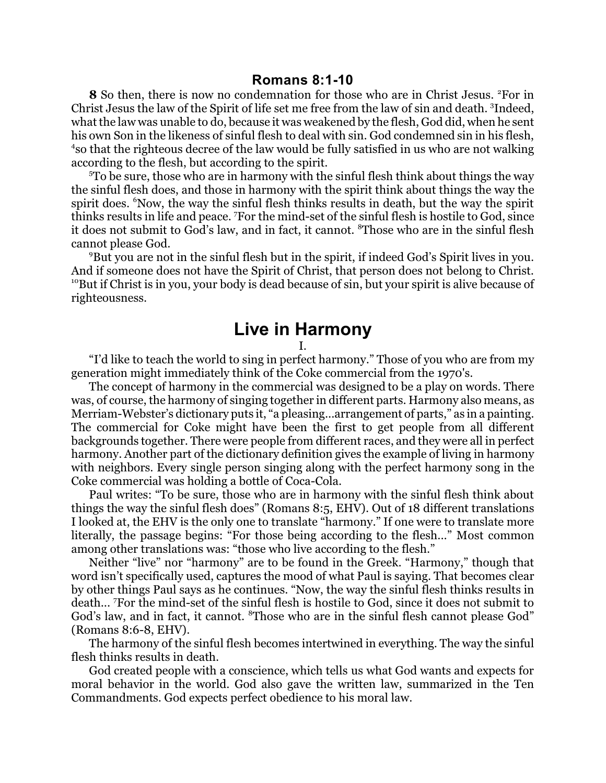**8** So then, there is now no condemnation for those who are in Christ Jesus. <sup>2</sup>For in Christ Jesus the law of the Spirit of life set me free from the law of sin and death. <sup>3</sup> Indeed, whatthe law was unable to do, because it was weakened by the flesh, God did, when he sent his own Son in the likeness of sinful flesh to deal with sin. God condemned sin in his flesh, 4 so that the righteous decree of the law would be fully satisfied in us who are not walking according to the flesh, but according to the spirit.

<sup>5</sup>To be sure, those who are in harmony with the sinful flesh think about things the way the sinful flesh does, and those in harmony with the spirit think about things the way the spirit does. <sup>6</sup>Now, the way the sinful flesh thinks results in death, but the way the spirit thinks results in life and peace. <sup>7</sup>For the mind-set of the sinful flesh is hostile to God, since it does not submit to God's law, and in fact, it cannot. <sup>8</sup>Those who are in the sinful flesh cannot please God.

<sup>9</sup>But you are not in the sinful flesh but in the spirit, if indeed God's Spirit lives in you. And if someone does not have the Spirit of Christ, that person does not belong to Christ.  $10B$ But if Christ is in you, your body is dead because of sin, but your spirit is alive because of righteousness.

## **Live in Harmony**

I.

"I'd like to teach the world to sing in perfect harmony." Those of you who are from my generation might immediately think of the Coke commercial from the 1970's.

The concept of harmony in the commercial was designed to be a play on words. There was, of course, the harmony of singing together in different parts. Harmony also means, as Merriam-Webster's dictionary puts it, "a pleasing...arrangement of parts," as in a painting. The commercial for Coke might have been the first to get people from all different backgrounds together. There were people from different races, and they were all in perfect harmony. Another part of the dictionary definition gives the example of living in harmony with neighbors. Every single person singing along with the perfect harmony song in the Coke commercial was holding a bottle of Coca-Cola.

Paul writes: "To be sure, those who are in harmony with the sinful flesh think about things the way the sinful flesh does" (Romans 8:5, EHV). Out of 18 different translations I looked at, the EHV is the only one to translate "harmony." If one were to translate more literally, the passage begins: "For those being according to the flesh..." Most common among other translations was: "those who live according to the flesh."

Neither "live" nor "harmony" are to be found in the Greek. "Harmony," though that word isn't specifically used, captures the mood of what Paul is saying. That becomes clear by other things Paul says as he continues. "Now, the way the sinful flesh thinks results in death... <sup>7</sup>For the mind-set of the sinful flesh is hostile to God, since it does not submit to God's law, and in fact, it cannot. <sup>8</sup>Those who are in the sinful flesh cannot please God" (Romans 8:6-8, EHV).

The harmony of the sinful flesh becomes intertwined in everything. The way the sinful flesh thinks results in death.

God created people with a conscience, which tells us what God wants and expects for moral behavior in the world. God also gave the written law, summarized in the Ten Commandments. God expects perfect obedience to his moral law.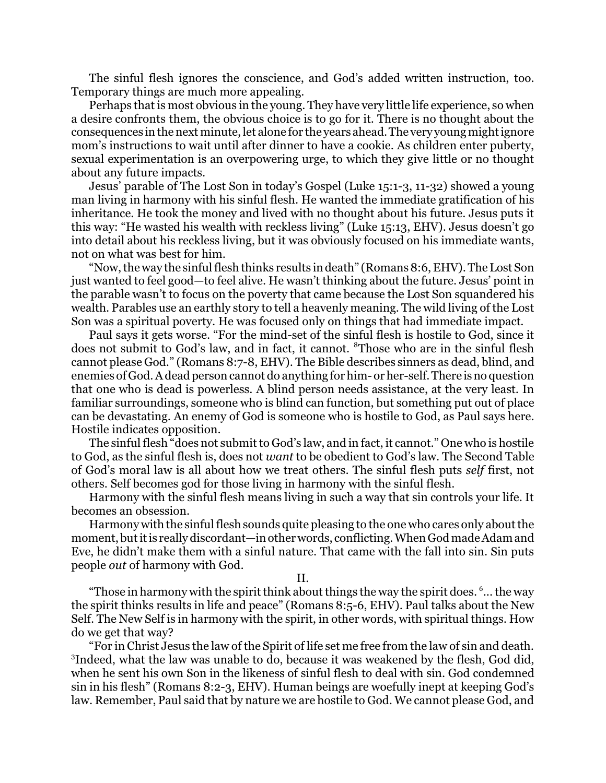The sinful flesh ignores the conscience, and God's added written instruction, too. Temporary things are much more appealing.

Perhaps that is most obvious in the young. They have very little life experience, so when a desire confronts them, the obvious choice is to go for it. There is no thought about the consequences in the next minute, let alone for the years ahead. The very young mightignore mom's instructions to wait until after dinner to have a cookie. As children enter puberty, sexual experimentation is an overpowering urge, to which they give little or no thought about any future impacts.

Jesus' parable of The Lost Son in today's Gospel (Luke 15:1-3, 11-32) showed a young man living in harmony with his sinful flesh. He wanted the immediate gratification of his inheritance. He took the money and lived with no thought about his future. Jesus puts it this way: "He wasted his wealth with reckless living" (Luke 15:13, EHV). Jesus doesn't go into detail about his reckless living, but it was obviously focused on his immediate wants, not on what was best for him.

"Now, the way the sinful flesh thinks results in death" (Romans 8:6, EHV). The Lost Son just wanted to feel good—to feel alive. He wasn't thinking about the future. Jesus' point in the parable wasn't to focus on the poverty that came because the Lost Son squandered his wealth. Parables use an earthly story to tell a heavenly meaning. The wild living of the Lost Son was a spiritual poverty. He was focused only on things that had immediate impact.

Paul says it gets worse. "For the mind-set of the sinful flesh is hostile to God, since it does not submit to God's law, and in fact, it cannot. <sup>8</sup>Those who are in the sinful flesh cannot please God." (Romans 8:7-8, EHV). The Bible describes sinners as dead, blind, and enemies of God. A dead person cannot do anything for him- or her-self. There is no question that one who is dead is powerless. A blind person needs assistance, at the very least. In familiar surroundings, someone who is blind can function, but something put out of place can be devastating. An enemy of God is someone who is hostile to God, as Paul says here. Hostile indicates opposition.

The sinful flesh "does not submit to God's law, and in fact, it cannot." One who is hostile to God, as the sinful flesh is, does not *want* to be obedient to God's law. The Second Table of God's moral law is all about how we treat others. The sinful flesh puts *self* first, not others. Self becomes god for those living in harmony with the sinful flesh.

Harmony with the sinful flesh means living in such a way that sin controls your life. It becomes an obsession.

Harmony with the sinful flesh sounds quite pleasing to the one who cares only about the moment, but it is really discordant—in other words, conflicting. When God made Adam and Eve, he didn't make them with a sinful nature. That came with the fall into sin. Sin puts people *out* of harmony with God.

II.

"Those in harmony with the spirit think about things the way the spirit does.  $6...$  the way the spirit thinks results in life and peace" (Romans 8:5-6, EHV). Paul talks about the New Self. The New Self is in harmony with the spirit, in other words, with spiritual things. How do we get that way?

"For in Christ Jesus the law of the Spirit of life set me free from the law of sin and death. <sup>3</sup>Indeed, what the law was unable to do, because it was weakened by the flesh, God did, when he sent his own Son in the likeness of sinful flesh to deal with sin. God condemned sin in his flesh" (Romans 8:2-3, EHV). Human beings are woefully inept at keeping God's law. Remember, Paul said that by nature we are hostile to God. We cannot please God, and